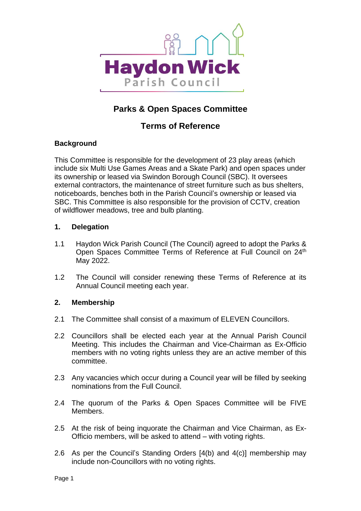

# **Parks & Open Spaces Committee**

# **Terms of Reference**

# **Background**

This Committee is responsible for the development of 23 play areas (which include six Multi Use Games Areas and a Skate Park) and open spaces under its ownership or leased via Swindon Borough Council (SBC). It oversees external contractors, the maintenance of street furniture such as bus shelters, noticeboards, benches both in the Parish Council's ownership or leased via SBC. This Committee is also responsible for the provision of CCTV, creation of wildflower meadows, tree and bulb planting.

### **1. Delegation**

- 1.1 Haydon Wick Parish Council (The Council) agreed to adopt the Parks & Open Spaces Committee Terms of Reference at Full Council on 24<sup>th</sup> May 2022.
- 1.2 The Council will consider renewing these Terms of Reference at its Annual Council meeting each year.

#### **2. Membership**

- 2.1 The Committee shall consist of a maximum of ELEVEN Councillors.
- 2.2 Councillors shall be elected each year at the Annual Parish Council Meeting. This includes the Chairman and Vice-Chairman as Ex-Officio members with no voting rights unless they are an active member of this committee.
- 2.3 Any vacancies which occur during a Council year will be filled by seeking nominations from the Full Council.
- 2.4 The quorum of the Parks & Open Spaces Committee will be FIVE Members.
- 2.5 At the risk of being inquorate the Chairman and Vice Chairman, as Ex-Officio members, will be asked to attend – with voting rights.
- 2.6 As per the Council's Standing Orders [4(b) and 4(c)] membership may include non-Councillors with no voting rights.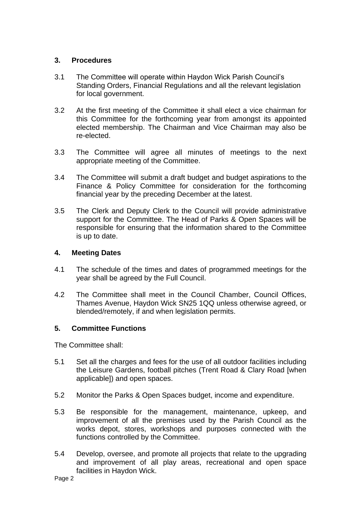# **3. Procedures**

- 3.1 The Committee will operate within Haydon Wick Parish Council's Standing Orders, Financial Regulations and all the relevant legislation for local government.
- 3.2 At the first meeting of the Committee it shall elect a vice chairman for this Committee for the forthcoming year from amongst its appointed elected membership. The Chairman and Vice Chairman may also be re-elected.
- 3.3 The Committee will agree all minutes of meetings to the next appropriate meeting of the Committee.
- 3.4 The Committee will submit a draft budget and budget aspirations to the Finance & Policy Committee for consideration for the forthcoming financial year by the preceding December at the latest.
- 3.5 The Clerk and Deputy Clerk to the Council will provide administrative support for the Committee. The Head of Parks & Open Spaces will be responsible for ensuring that the information shared to the Committee is up to date.

# **4. Meeting Dates**

- 4.1 The schedule of the times and dates of programmed meetings for the year shall be agreed by the Full Council.
- 4.2 The Committee shall meet in the Council Chamber, Council Offices, Thames Avenue, Haydon Wick SN25 1QQ unless otherwise agreed, or blended/remotely, if and when legislation permits.

#### **5. Committee Functions**

The Committee shall:

- 5.1 Set all the charges and fees for the use of all outdoor facilities including the Leisure Gardens, football pitches (Trent Road & Clary Road [when applicable]) and open spaces.
- 5.2 Monitor the Parks & Open Spaces budget, income and expenditure.
- 5.3 Be responsible for the management, maintenance, upkeep, and improvement of all the premises used by the Parish Council as the works depot, stores, workshops and purposes connected with the functions controlled by the Committee.
- 5.4 Develop, oversee, and promote all projects that relate to the upgrading and improvement of all play areas, recreational and open space facilities in Haydon Wick.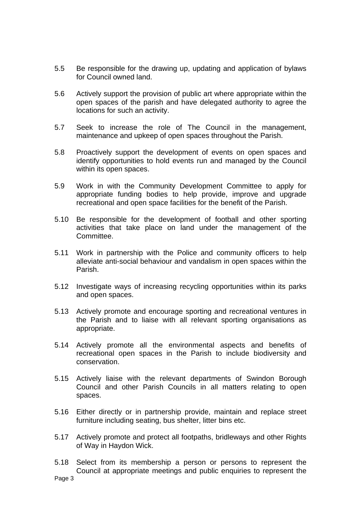- 5.5 Be responsible for the drawing up, updating and application of bylaws for Council owned land.
- 5.6 Actively support the provision of public art where appropriate within the open spaces of the parish and have delegated authority to agree the locations for such an activity.
- 5.7 Seek to increase the role of The Council in the management, maintenance and upkeep of open spaces throughout the Parish.
- 5.8 Proactively support the development of events on open spaces and identify opportunities to hold events run and managed by the Council within its open spaces.
- 5.9 Work in with the Community Development Committee to apply for appropriate funding bodies to help provide, improve and upgrade recreational and open space facilities for the benefit of the Parish.
- 5.10 Be responsible for the development of football and other sporting activities that take place on land under the management of the Committee.
- 5.11 Work in partnership with the Police and community officers to help alleviate anti-social behaviour and vandalism in open spaces within the Parish.
- 5.12 Investigate ways of increasing recycling opportunities within its parks and open spaces.
- 5.13 Actively promote and encourage sporting and recreational ventures in the Parish and to liaise with all relevant sporting organisations as appropriate.
- 5.14 Actively promote all the environmental aspects and benefits of recreational open spaces in the Parish to include biodiversity and conservation.
- 5.15 Actively liaise with the relevant departments of Swindon Borough Council and other Parish Councils in all matters relating to open spaces.
- 5.16 Either directly or in partnership provide, maintain and replace street furniture including seating, bus shelter, litter bins etc.
- 5.17 Actively promote and protect all footpaths, bridleways and other Rights of Way in Haydon Wick.
- Page 3 5.18 Select from its membership a person or persons to represent the Council at appropriate meetings and public enquiries to represent the